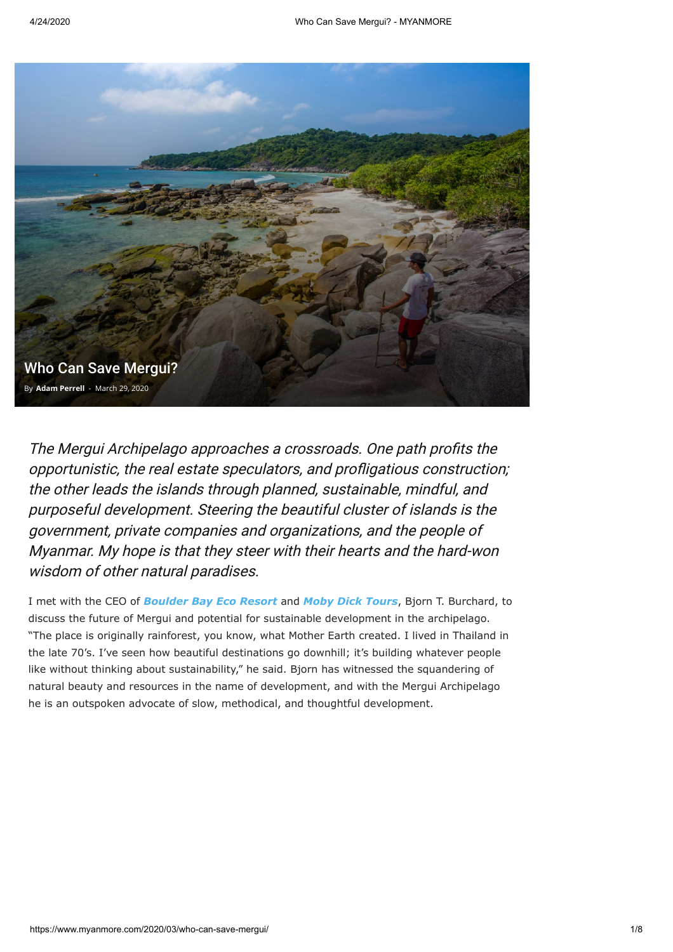

The Mergui Archipelago approaches a crossroads. One path profits the opportunistic, the real estate speculators, and profligatious construction; the other leads the islands through planned, sustainable, mindful, and purposeful development. Steering the beautiful cluster of islands is the government, private companies and organizations, and the people of Myanmar. My hope is that they steer with their hearts and the hard-won wisdom of other natural paradises.

I met with the CEO of *[Boulder Bay Eco Resort](https://boulderasia.com/)* and *[Moby Dick Tours](https://www.mobydick-tours.com/)*, Bjorn T. Burchard, to discuss the future of Mergui and potential for sustainable development in the archipelago. "The place is originally rainforest, you know, what Mother Earth created. I lived in Thailand in the late 70's. I've seen how beautiful destinations go downhill; it's building whatever people like without thinking about sustainability," he said. Bjorn has witnessed the squandering of natural beauty and resources in the name of development, and with the Mergui Archipelago he is an outspoken advocate of slow, methodical, and thoughtful development.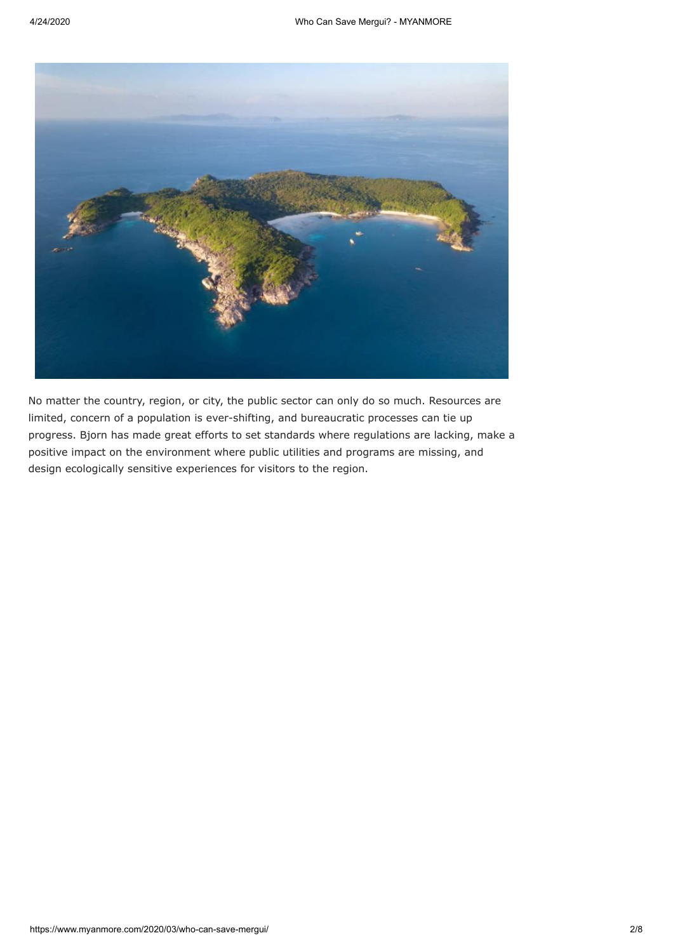

No matter the country, region, or city, the public sector can only do so much. Resources are limited, concern of a population is ever-shifting, and bureaucratic processes can tie up progress. Bjorn has made great efforts to set standards where regulations are lacking, make a positive impact on the environment where public utilities and programs are missing, and design ecologically sensitive experiences for visitors to the region.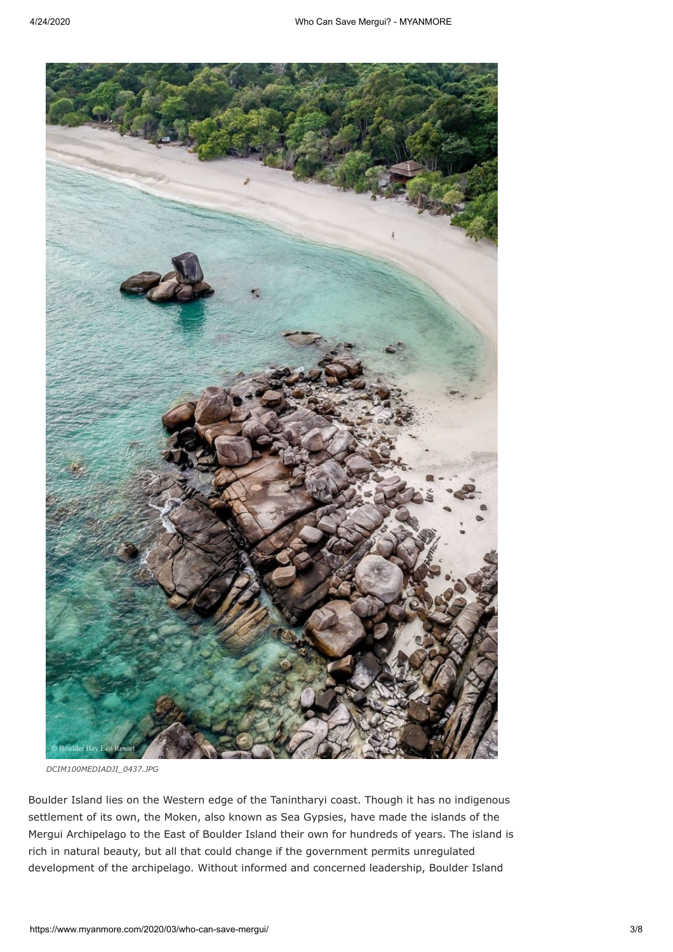

*DCIM100MEDIADJI\_0437.JPG*

Boulder Island lies on the Western edge of the Tanintharyi coast. Though it has no indigenous settlement of its own, the Moken, also known as Sea Gypsies, have made the islands of the Mergui Archipelago to the East of Boulder Island their own for hundreds of years. The island is rich in natural beauty, but all that could change if the government permits unregulated development of the archipelago. Without informed and concerned leadership, Boulder Island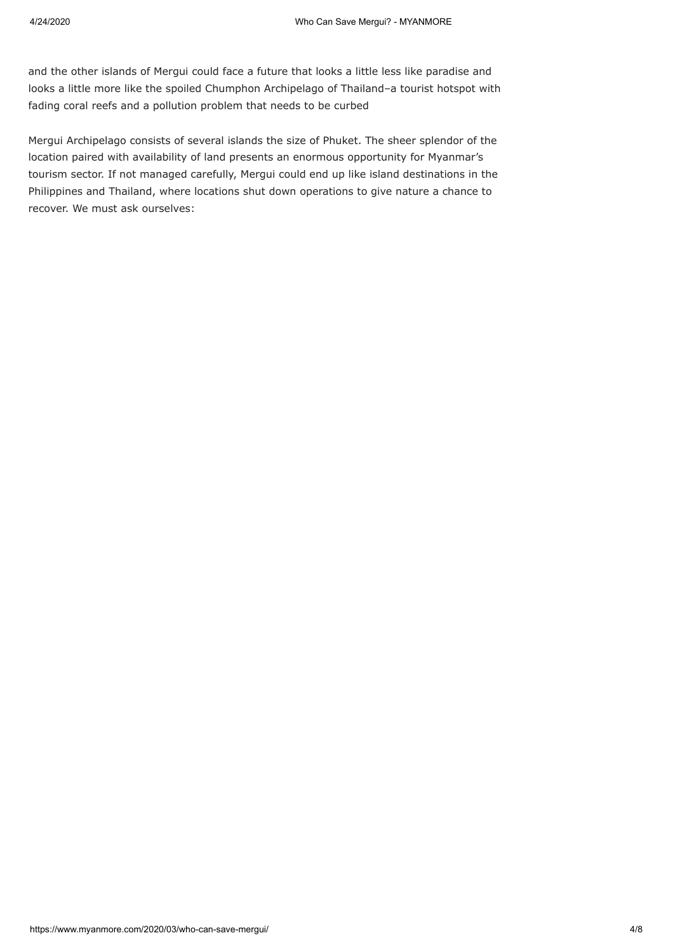and the other islands of Mergui could face a future that looks a little less like paradise and looks a little more like the spoiled Chumphon Archipelago of Thailand–a tourist hotspot with fading coral reefs and a pollution problem that needs to be curbed

Mergui Archipelago consists of several islands the size of Phuket. The sheer splendor of the location paired with availability of land presents an enormous opportunity for Myanmar's tourism sector. If not managed carefully, Mergui could end up like island destinations in the Philippines and Thailand, where locations shut down operations to give nature a chance to recover. We must ask ourselves: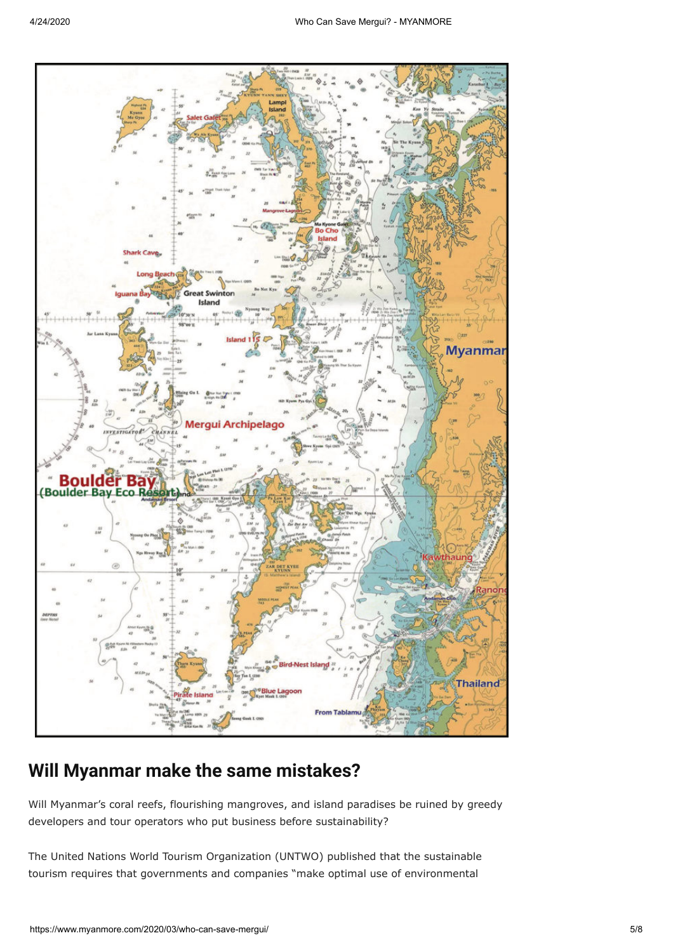

## **Will Myanmar make the same mistakes?**

Will Myanmar's coral reefs, flourishing mangroves, and island paradises be ruined by greedy developers and tour operators who put business before sustainability?

The United Nations World Tourism Organization (UNTWO) published that the sustainable tourism requires that governments and companies "make optimal use of environmental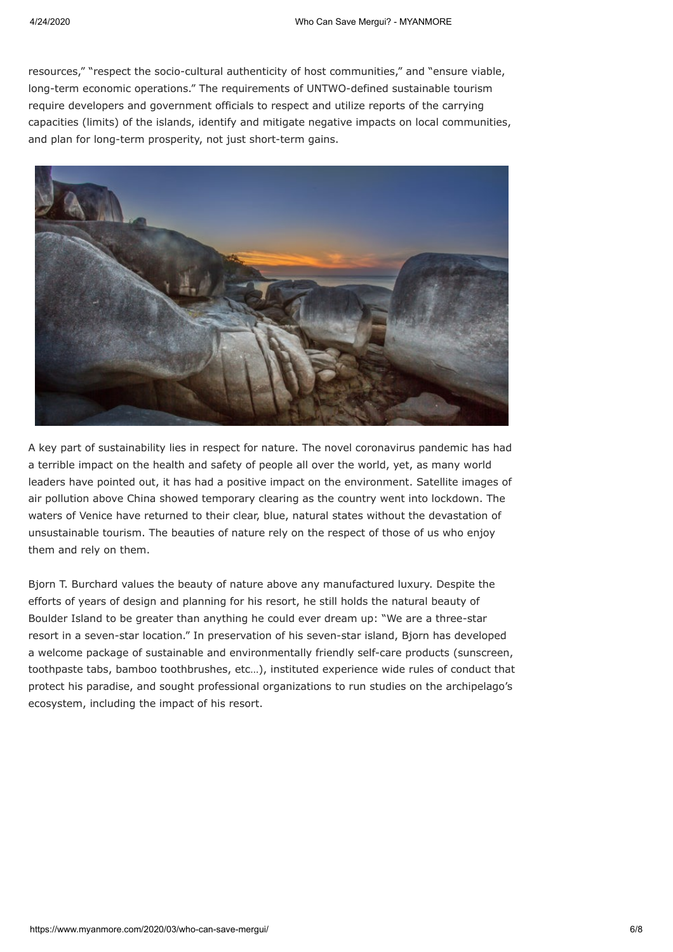resources," "respect the socio-cultural authenticity of host communities," and "ensure viable, long-term economic operations." The requirements of UNTWO-defined sustainable tourism require developers and government officials to respect and utilize reports of the carrying capacities (limits) of the islands, identify and mitigate negative impacts on local communities, and plan for long-term prosperity, not just short-term gains.



A key part of sustainability lies in respect for nature. The novel coronavirus pandemic has had a terrible impact on the health and safety of people all over the world, yet, as many world leaders have pointed out, it has had a positive impact on the environment. Satellite images of air pollution above China showed temporary clearing as the country went into lockdown. The waters of Venice have returned to their clear, blue, natural states without the devastation of unsustainable tourism. The beauties of nature rely on the respect of those of us who enjoy them and rely on them.

Bjorn T. Burchard values the beauty of nature above any manufactured luxury. Despite the efforts of years of design and planning for his resort, he still holds the natural beauty of Boulder Island to be greater than anything he could ever dream up: "We are a three-star resort in a seven-star location." In preservation of his seven-star island, Bjorn has developed a welcome package of sustainable and environmentally friendly self-care products (sunscreen, toothpaste tabs, bamboo toothbrushes, etc…), instituted experience wide rules of conduct that protect his paradise, and sought professional organizations to run studies on the archipelago's ecosystem, including the impact of his resort.